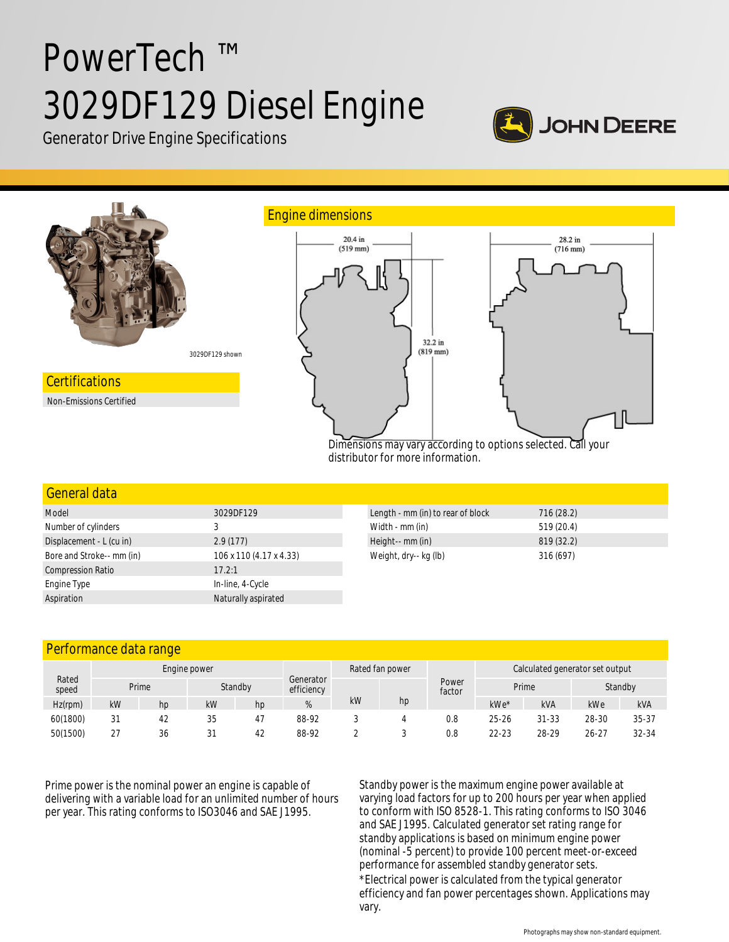# PowerTech ™ 3029DF129 Diesel Engine



Generator Drive Engine Specifications



| <u>General data</u>       |                         |                                   |            |
|---------------------------|-------------------------|-----------------------------------|------------|
| Model                     | 3029DF129               | Length - mm (in) to rear of block | 716(28.2)  |
| Number of cylinders       |                         | Width - mm (in)                   | 519 (20.4) |
| Displacement - L (cu in)  | 2.9(177)                | Height-- mm (in)                  | 819 (32.2) |
| Bore and Stroke-- mm (in) | 106 x 110 (4.17 x 4.33) | Weight, dry-- kg (lb)             | 316 (697)  |
| <b>Compression Ratio</b>  | 17.2:1                  |                                   |            |
| Engine Type               | In-line, 4-Cycle        |                                   |            |
| Aspiration                | Naturally aspirated     |                                   |            |

# Performance data range

| Rated<br>speed | Engine power |    |    | Generator | Rated fan power |    |    | Calculated generator set output |           |           |           |           |
|----------------|--------------|----|----|-----------|-----------------|----|----|---------------------------------|-----------|-----------|-----------|-----------|
|                | Prime        |    |    | Standby   |                 |    |    | Power<br>factor                 | Prime     |           | Standby   |           |
| $Hz$ (rpm)     | kW           | hp | kW | hp        | %               | kW | hp |                                 | kWe*      | kVA       | kWe       | kVA       |
| 60(1800)       | 31           | 42 | 35 | 47        | 88-92           |    |    | 0.8                             | $25 - 26$ | $31 - 33$ | 28-30     | $35 - 37$ |
| 50(1500)       | $\sim$<br>Ζ. | 36 | 31 | 42        | 88-92           |    |    | 0.8                             | 22-23     | 28-29     | $26 - 27$ | 32-34     |

Prime power is the nominal power an engine is capable of delivering with a variable load for an unlimited number of hours per year. This rating conforms to ISO3046 and SAE J1995.

Standby power is the maximum engine power available at varying load factors for up to 200 hours per year when applied to conform with ISO 8528-1. This rating conforms to ISO 3046 and SAE J1995. Calculated generator set rating range for standby applications is based on minimum engine power (nominal -5 percent) to provide 100 percent meet-or-exceed performance for assembled standby generator sets. \*Electrical power is calculated from the typical generator efficiency and fan power percentages shown. Applications may vary.